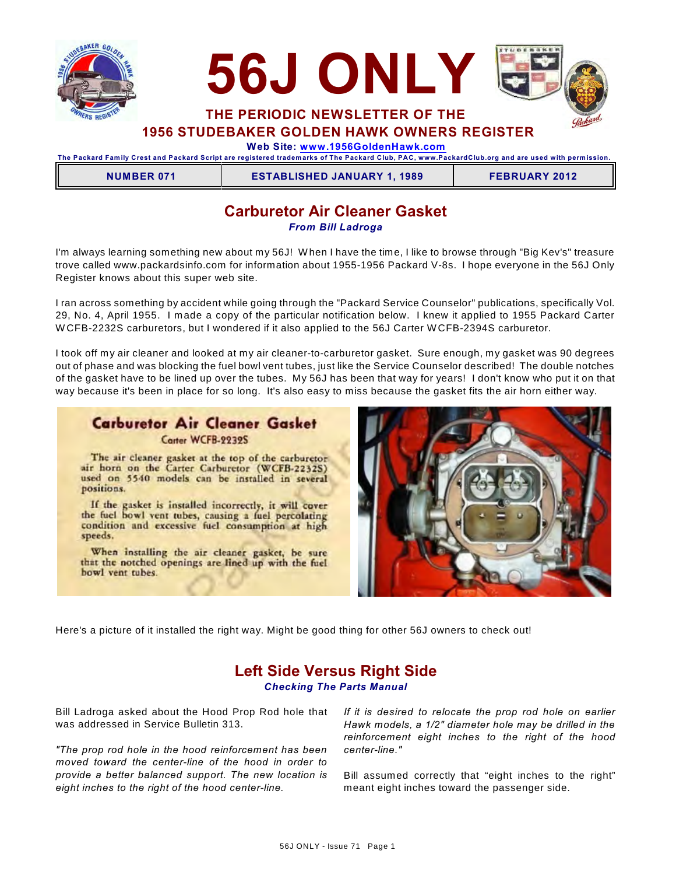



**1956 STUDEBAKER GOLDEN HAWK OWNERS REGISTER**

 **Web Site: [www.1956GoldenHawk.com](http://www.1956GoldenHawk.com)**

**The Packard Fam ily Crest and Packard Script are registered tradem arks of The Packard Club, PAC, www.PackardClub.org and are used with perm ission.** 

**NUMBER 071 ESTABLISHED JANUARY 1, 1989 FEBRUARY 2012**

# **Carburetor Air Cleaner Gasket**

*From Bill Ladroga*

I'm always learning something new about my 56J! W hen I have the time, I like to browse through "Big Kev's" treasure trove called www.packardsinfo.com for information about 1955-1956 Packard V-8s. I hope everyone in the 56J Only Register knows about this super web site.

I ran across something by accident while going through the "Packard Service Counselor" publications, specifically Vol. 29, No. 4, April 1955. I made a copy of the particular notification below. I knew it applied to 1955 Packard Carter W CFB-2232S carburetors, but I wondered if it also applied to the 56J Carter W CFB-2394S carburetor.

I took off my air cleaner and looked at my air cleaner-to-carburetor gasket. Sure enough, my gasket was 90 degrees out of phase and was blocking the fuel bowl vent tubes, just like the Service Counselor described! The double notches of the gasket have to be lined up over the tubes. My 56J has been that way for years! I don't know who put it on that way because it's been in place for so long. It's also easy to miss because the gasket fits the air horn either way.

# **Carburetor Air Cleaner Gasket** Carter WCFB-2232S

The air cleaner gasket at the top of the carburetor air horn on the Carter Carburetor (WCFB-2232S) used on 5540 models can be installed in several positions.

If the gasket is installed incorrectly, it will cover the fuel bowl vent tubes, causing a fuel percolating condition and excessive fuel consumption at high speeds.

When installing the air cleaner gasket, be sure that the notched openings are lined up with the fuel bowl vent tubes.



Here's a picture of it installed the right way. Might be good thing for other 56J owners to check out!

# **Left Side Versus Right Side** *Checking The Parts Manual*

Bill Ladroga asked about the Hood Prop Rod hole that was addressed in Service Bulletin 313.

*"The prop rod hole in the hood reinforcement has been moved toward the center-line of the hood in order to provide a better balanced support. The new location is eight inches to the right of the hood center-line.*

*If it is desired to relocate the prop rod hole on earlier Hawk models, a 1/2" diameter hole may be drilled in the reinforcement eight inches to the right of the hood center-line."*

Bill assumed correctly that "eight inches to the right" meant eight inches toward the passenger side.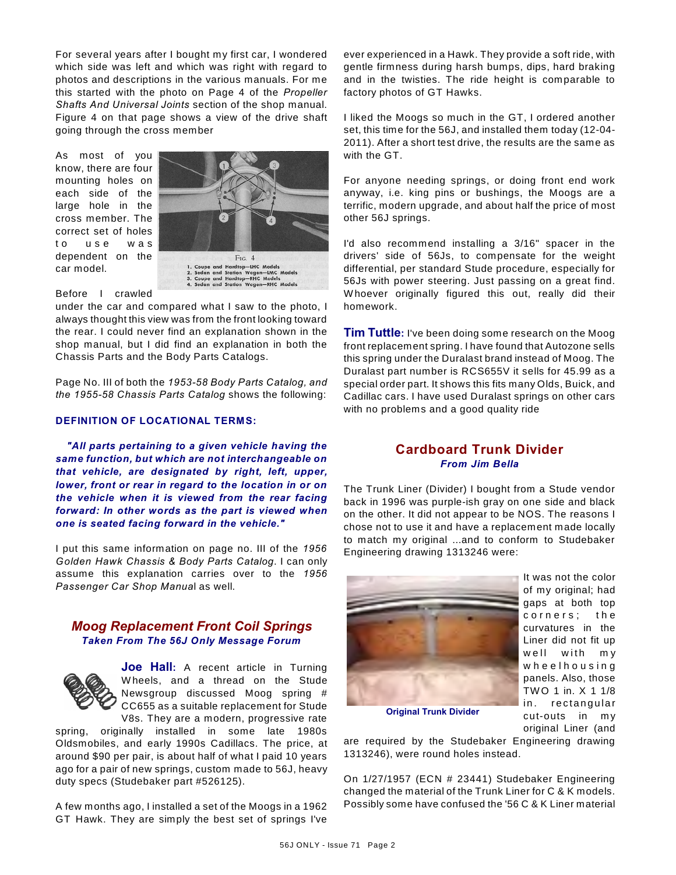For several years after I bought my first car, I wondered which side was left and which was right with regard to photos and descriptions in the various manuals. For me this started with the photo on Page 4 of the *Propeller Shafts And Universal Joints* section of the shop manual. Figure 4 on that page shows a view of the drive shaft going through the cross member

As most of you know, there are four mounting holes on each side of the large hole in the cross member. The correct set of holes to use was dependent on the car model.



Before I crawled

under the car and compared what I saw to the photo, I always thought this view was from the front looking toward the rear. I could never find an explanation shown in the shop manual, but I did find an explanation in both the Chassis Parts and the Body Parts Catalogs.

Page No. III of both the *1953-58 Body Parts Catalog, and the 1955-58 Chassis Parts Catalog* shows the following:

#### **DEFINITION OF LOCATIONAL TERMS:**

*"All parts pertaining to a given vehicle having the same function, but which are not interchangeable on that vehicle, are designated by right, left, upper, lower, front or rear in regard to the location in or on the vehicle when it is viewed from the rear facing forward: In other words as the part is viewed when one is seated facing forward in the vehicle."*

I put this same information on page no. III of the *1956 Golden Hawk Chassis & Body Parts Catalog*. I can only assume this explanation carries over to the *1956 Passenger Car Shop Manua*l as well.

### *Moog Replacement Front Coil Springs Taken From The 56J Only Message Forum*



**Joe Hall:** A recent article in Turning W heels, and a thread on the Stude Newsgroup discussed Moog spring # CC655 as a suitable replacement for Stude V8s. They are a modern, progressive rate

spring, originally installed in some late 1980s Oldsmobiles, and early 1990s Cadillacs. The price, at around \$90 per pair, is about half of what I paid 10 years ago for a pair of new springs, custom made to 56J, heavy duty specs (Studebaker part #526125).

A few months ago, I installed a set of the Moogs in a 1962 GT Hawk. They are simply the best set of springs I've

ever experienced in a Hawk. They provide a soft ride, with gentle firmness during harsh bumps, dips, hard braking and in the twisties. The ride height is comparable to factory photos of GT Hawks.

I liked the Moogs so much in the GT, I ordered another set, this time for the 56J, and installed them today (12-04- 2011). After a short test drive, the results are the same as with the GT.

For anyone needing springs, or doing front end work anyway, i.e. king pins or bushings, the Moogs are a terrific, modern upgrade, and about half the price of most other 56J springs.

I'd also recommend installing a 3/16" spacer in the drivers' side of 56Js, to compensate for the weight differential, per standard Stude procedure, especially for 56Js with power steering. Just passing on a great find. W hoever originally figured this out, really did their homework.

**Tim Tuttle:** I've been doing some research on the Moog front replacement spring. I have found that Autozone sells this spring under the Duralast brand instead of Moog. The Duralast part number is RCS655V it sells for 45.99 as a special order part. It shows this fits many Olds, Buick, and Cadillac cars. I have used Duralast springs on other cars with no problems and a good quality ride

# **Cardboard Trunk Divider** *From Jim Bella*

The Trunk Liner (Divider) I bought from a Stude vendor back in 1996 was purple-ish gray on one side and black on the other. It did not appear to be NOS. The reasons I chose not to use it and have a replacement made locally to match my original ...and to conform to Studebaker Engineering drawing 1313246 were:



It was not the color of my original; had gaps at both top corners; the curvatures in the Liner did not fit up well with my wheelhousing panels. Also, those TW O 1 in. X 1 1/8 in. rectangular cut-outs in my original Liner (and

**Original Trunk Divider**

are required by the Studebaker Engineering drawing 1313246), were round holes instead.

On 1/27/1957 (ECN # 23441) Studebaker Engineering changed the material of the Trunk Liner for C & K models. Possibly some have confused the '56 C & K Liner material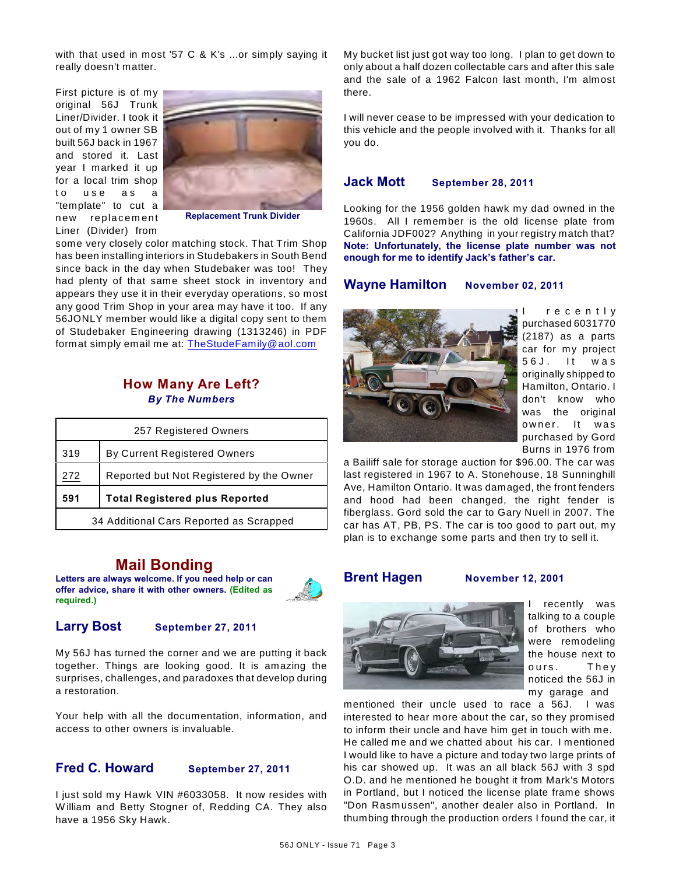with that used in most '57 C & K's ...or simply saying it really doesn't matter.

First picture is of my original 56J Trunk Liner/Divider. I took it out of my 1 owner SB built 56J back in 1967 and stored it. Last year I marked it up for a local trim shop to use as a "template" to cut a new replacement Liner (Divider) from



**Replacement Trunk Divider**

some very closely color matching stock. That Trim Shop has been installing interiors in Studebakers in South Bend since back in the day when Studebaker was too! They had plenty of that same sheet stock in inventory and appears they use it in their everyday operations, so most any good Trim Shop in your area may have it too. If any 56JONLY member would like a digital copy sent to them of Studebaker Engineering drawing (1313246) in PDF format simply email me at: [TheStudeFamily@aol.com](mailto:TheStudeFamily@aol.com)

# **How Many Are Left?** *By The Numbers*

| 257 Registered Owners                           |                              |  |  |  |
|-------------------------------------------------|------------------------------|--|--|--|
| 319                                             | By Current Registered Owners |  |  |  |
| Reported but Not Registered by the Owner<br>272 |                              |  |  |  |
| <b>Total Registered plus Reported</b><br>591    |                              |  |  |  |
| 34 Additional Cars Reported as Scrapped         |                              |  |  |  |

# **Mail Bonding**

**Letters are always welcome. If you need help or can offer advice, share it with other owners. (Edited as required.)**



# **Larry Bost September 27, 2011**

My 56J has turned the corner and we are putting it back together. Things are looking good. It is amazing the surprises, challenges, and paradoxes that develop during a restoration.

Your help with all the documentation, information, and access to other owners is invaluable.

# **Fred C. Howard September 27, 2011**

I just sold my Hawk VIN #6033058. It now resides with W illiam and Betty Stogner of, Redding CA. They also have a 1956 Sky Hawk.

My bucket list just got way too long. I plan to get down to only about a half dozen collectable cars and after this sale and the sale of a 1962 Falcon last month, I'm almost there.

I will never cease to be impressed with your dedication to this vehicle and the people involved with it. Thanks for all you do.

#### **Jack Mott September 28, 2011**

Looking for the 1956 golden hawk my dad owned in the 1960s. All I remember is the old license plate from California JDF002? Anything in your registry match that? **Note: Unfortunately, the license plate number was not enough for me to identify Jack's father's car.**

### **Wayne Hamilton November 02, 2011**



r e c e n t l y purchased 6031770 (2187) as a parts car for my project 56 J. It was originally shipped to Hamilton, Ontario. I don't know who was the original owner. It was purchased by Gord Burns in 1976 from

a Bailiff sale for storage auction for \$96.00. The car was last registered in 1967 to A. Stonehouse, 18 Sunninghill Ave, Hamilton Ontario. It was damaged, the front fenders and hood had been changed, the right fender is fiberglass. Gord sold the car to Gary Nuell in 2007. The car has AT, PB, PS. The car is too good to part out, my plan is to exchange some parts and then try to sell it.

#### **Brent Hagen November 12, 2001**



recently was talking to a couple of brothers who were remodeling the house next to ours. They noticed the 56J in my garage and

mentioned their uncle used to race a 56J. I was interested to hear more about the car, so they promised to inform their uncle and have him get in touch with me. He called me and we chatted about his car. I mentioned I would like to have a picture and today two large prints of his car showed up. It was an all black 56J with 3 spd O.D. and he mentioned he bought it from Mark's Motors in Portland, but I noticed the license plate frame shows "Don Rasmussen", another dealer also in Portland. In thumbing through the production orders I found the car, it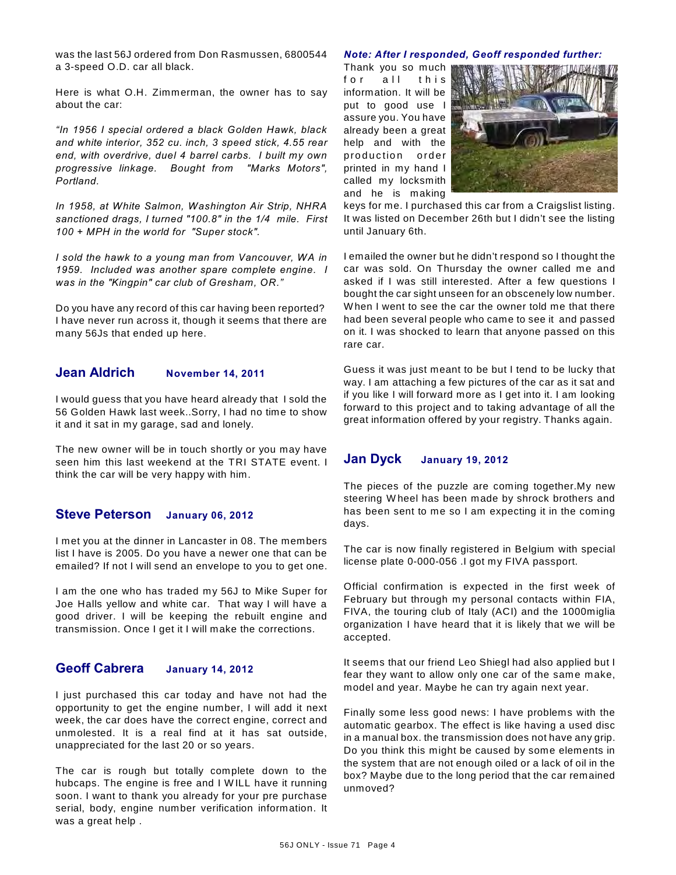was the last 56J ordered from Don Rasmussen, 6800544 a 3-speed O.D. car all black.

Here is what O.H. Zimmerman, the owner has to say about the car:

*"In 1956 I special ordered a black Golden Hawk, black and white interior, 352 cu. inch, 3 speed stick, 4.55 rear end, with overdrive, duel 4 barrel carbs. I built my own progressive linkage. Bought from "Marks Motors", Portland.* 

*In 1958, at White Salmon, Washington Air Strip, NHRA sanctioned drags, I turned "100.8" in the 1/4 mile. First 100 + MPH in the world for "Super stock".*

*I sold the hawk to a young man from Vancouver, WA in 1959. Included was another spare complete engine. I was in the "Kingpin" car club of Gresham, OR."*

Do you have any record of this car having been reported? I have never run across it, though it seems that there are many 56Js that ended up here.

## **Jean Aldrich November 14, 2011**

I would guess that you have heard already that I sold the 56 Golden Hawk last week..Sorry, I had no time to show it and it sat in my garage, sad and lonely.

The new owner will be in touch shortly or you may have seen him this last weekend at the TRI STATE event. I think the car will be very happy with him.

# **Steve Peterson January 06, 2012**

I met you at the dinner in Lancaster in 08. The members list I have is 2005. Do you have a newer one that can be emailed? If not I will send an envelope to you to get one.

I am the one who has traded my 56J to Mike Super for Joe Halls yellow and white car. That way I will have a good driver. I will be keeping the rebuilt engine and transmission. Once I get it I will make the corrections.

# **Geoff Cabrera January 14, 2012**

I just purchased this car today and have not had the opportunity to get the engine number, I will add it next week, the car does have the correct engine, correct and unmolested. It is a real find at it has sat outside, unappreciated for the last 20 or so years.

The car is rough but totally complete down to the hubcaps. The engine is free and I W ILL have it running soon. I want to thank you already for your pre purchase serial, body, engine number verification information. It was a great help .

#### *Note: After I responded, Geoff responded further:*

Thank you so much for all this information. It will be put to good use I assure you. You have already been a great help and with the production order printed in my hand I called my locksmith and he is making



keys for me. I purchased this car from a Craigslist listing. It was listed on December 26th but I didn't see the listing until January 6th.

I emailed the owner but he didn't respond so I thought the car was sold. On Thursday the owner called me and asked if I was still interested. After a few questions I bought the car sight unseen for an obscenely low number. W hen I went to see the car the owner told me that there had been several people who came to see it and passed on it. I was shocked to learn that anyone passed on this rare car.

Guess it was just meant to be but I tend to be lucky that way. I am attaching a few pictures of the car as it sat and if you like I will forward more as I get into it. I am looking forward to this project and to taking advantage of all the great information offered by your registry. Thanks again.

#### **Jan Dyck January 19, 2012**

The pieces of the puzzle are coming together.My new steering W heel has been made by shrock brothers and has been sent to me so I am expecting it in the coming days.

The car is now finally registered in Belgium with special license plate 0-000-056 .I got my FIVA passport.

Official confirmation is expected in the first week of February but through my personal contacts within FIA, FIVA, the touring club of Italy (ACI) and the 1000miglia organization I have heard that it is likely that we will be accepted.

It seems that our friend Leo Shiegl had also applied but I fear they want to allow only one car of the same make, model and year. Maybe he can try again next year.

Finally some less good news: I have problems with the automatic gearbox. The effect is like having a used disc in a manual box. the transmission does not have any grip. Do you think this might be caused by some elements in the system that are not enough oiled or a lack of oil in the box? Maybe due to the long period that the car remained unmoved?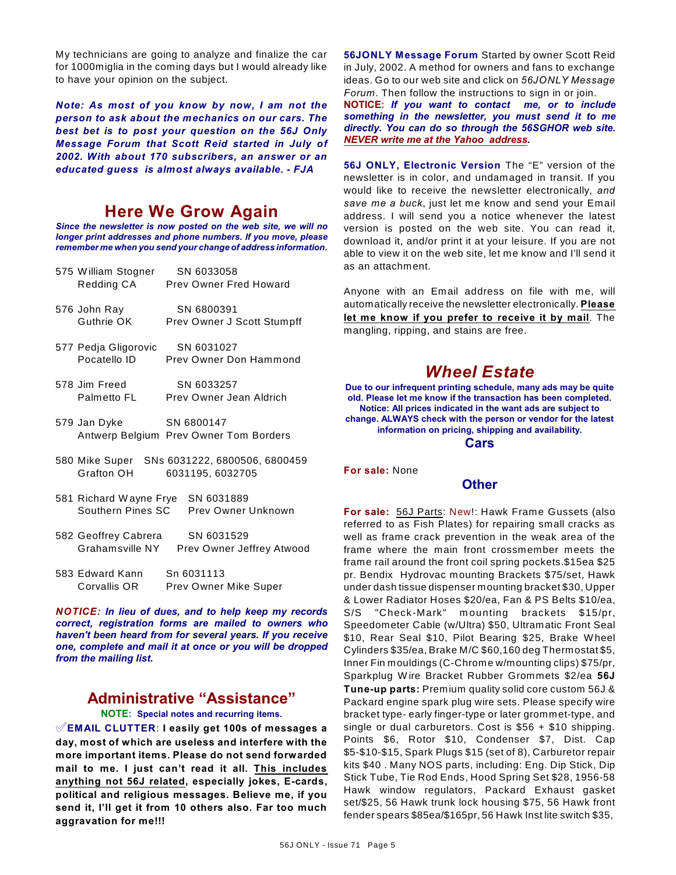My technicians are going to analyze and finalize the car for 1000miglia in the coming days but I would already like to have your opinion on the subject.

*Note: As most of you know by now, I am not the person to ask about the mechanics on our cars. The best bet is to post your question on the 56J Only Message Forum that Scott Reid started in July of 2002. With about 170 subscribers, an answer or an educated guess is almost always available. - FJA*

# **Here We Grow Again**

*Since the newsletter is now posted on the web site, we will no longer print addresses and phone numbers. If you move, please remember me when you send your change of address information.*

| 575 William Stogner SN 6033058    | Redding CA Prev Owner Fred Howard                                |
|-----------------------------------|------------------------------------------------------------------|
|                                   | Prev Owner J Scott Stumpff                                       |
| 577 Pedja Gligorovic SN 6031027   | Pocatello ID Prev Owner Don Hammond                              |
| 578 Jim Freed SN 6033257          | Palmetto FL Prev Owner Jean Aldrich                              |
| 579 Jan Dyke SN 6800147           | Antwerp Belgium Prev Owner Tom Borders                           |
| Grafton OH                        | 580 Mike Super SNs 6031222, 6800506, 6800459<br>6031195, 6032705 |
| 581 Richard Wayne Frye SN 6031889 | Southern Pines SC Prey Owner Unknown                             |
| 582 Geoffrey Cabrera SN 6031529   | Grahamsville NY Prev Owner Jeffrey Atwood                        |
| 583 Edward Kann      Sn 6031113   | Corvallis OR Prev Owner Mike Super                               |

*NOTICE: In lieu of dues, and to help keep my records correct, registration forms are mailed to owners who haven't been heard from for several years. If you receive one, complete and mail it at once or you will be dropped from the mailing list.*

# **Administrative "Assistance"**

**NOTE: Special notes and recurring items.**

°**EMAIL CLUTTER**: **I easily get 100s of messages a day, most of which are useless and interfere with the more important items. Please do not send forwarded mail to me. I just can't read it all. This includes anything not 56J related, especially jokes, E-cards, political and religious messages. Believe me, if you send it, I'll get it from 10 others also. Far too much aggravation for me!!!**

**56JONLY Message Forum** Started by owner Scott Reid in July, 2002. A method for owners and fans to exchange ideas. Go to our web site and click on *56JONLY Message Forum*. Then follow the instructions to sign in or join.

**NOTICE:** *If you want to contact me, or to include something in the newsletter, you must send it to me directly. You can do so through the 56SGHOR web site. NEVER write me at the Yahoo address.*

**56J ONLY, Electronic Version** The "E" version of the newsletter is in color, and undamaged in transit. If you would like to receive the newsletter electronically, *and save me a buck*, just let me know and send your Email address. I will send you a notice whenever the latest version is posted on the web site. You can read it, download it, and/or print it at your leisure. If you are not able to view it on the web site, let me know and I'll send it as an attachment.

Anyone with an Email address on file with me, will automatically receive the newsletter electronically. **Please let me know if you prefer to receive it by mail**. The mangling, ripping, and stains are free.

# *Wheel Estate*

**Due to our infrequent printing schedule, many ads may be quite old. Please let me know if the transaction has been completed. Notice: All prices indicated in the want ads are subject to change. ALWAYS check with the person or vendor for the latest information on pricing, shipping and availability.**

**Cars**

**For sale:** None

# **Other**

**For sale:** 56J Parts: New!: Hawk Frame Gussets (also referred to as Fish Plates) for repairing small cracks as well as frame crack prevention in the weak area of the frame where the main front crossmember meets the frame rail around the front coil spring pockets.\$15ea \$25 pr. Bendix Hydrovac mounting Brackets \$75/set, Hawk under dash tissue dispenser mounting bracket \$30, Upper & Lower Radiator Hoses \$20/ea, Fan & PS Belts \$10/ea, S/S "Check-Mark" m ounting brackets \$15/pr, Speedometer Cable (w/Ultra) \$50, Ultramatic Front Seal \$10, Rear Seal \$10, Pilot Bearing \$25, Brake W heel Cylinders \$35/ea, Brake M/C \$60,160 deg Thermostat \$5, Inner Fin mouldings (C-Chrome w/mounting clips) \$75/pr, Sparkplug W ire Bracket Rubber Grommets \$2/ea **56J Tune-up parts:** Premium quality solid core custom 56J & Packard engine spark plug wire sets. Please specify wire bracket type- early finger-type or later grommet-type, and single or dual carburetors. Cost is \$56 + \$10 shipping. Points \$6, Rotor \$10, Condenser \$7, Dist. Cap \$5-\$10-\$15, Spark Plugs \$15 (set of 8), Carburetor repair kits \$40 . Many NOS parts, including: Eng. Dip Stick, Dip Stick Tube, Tie Rod Ends, Hood Spring Set \$28, 1956-58 Hawk window regulators, Packard Exhaust gasket set/\$25, 56 Hawk trunk lock housing \$75, 56 Hawk front fender spears \$85ea/\$165pr, 56 Hawk Inst lite switch \$35,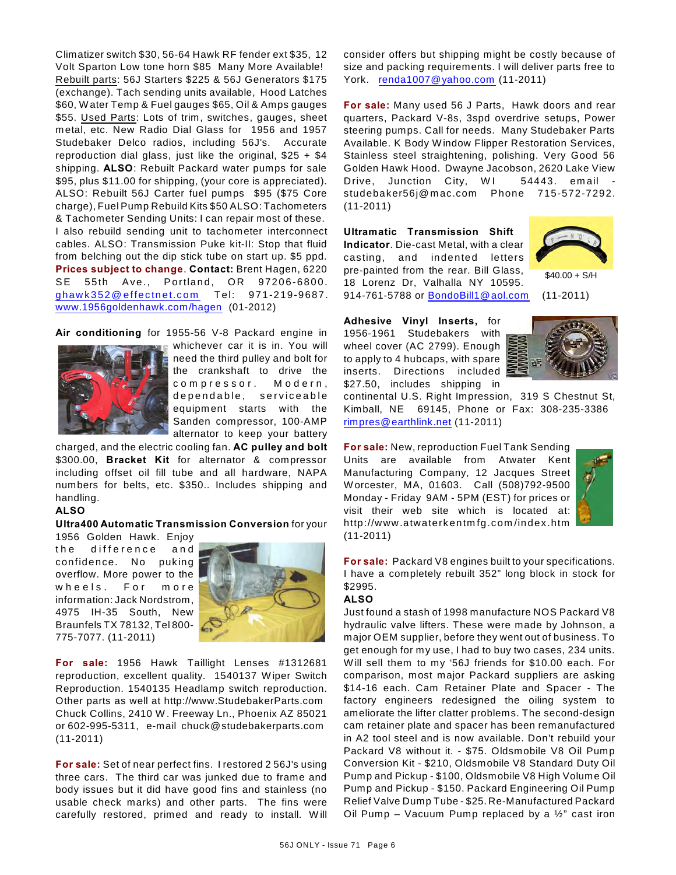Climatizer switch \$30, 56-64 Hawk RF fender ext \$35, 12 Volt Sparton Low tone horn \$85 Many More Available! Rebuilt parts: 56J Starters \$225 & 56J Generators \$175 (exchange). Tach sending units available, Hood Latches \$60, W ater Temp & Fuel gauges \$65, Oil & Amps gauges \$55. Used Parts: Lots of trim, switches, gauges, sheet metal, etc. New Radio Dial Glass for 1956 and 1957 Studebaker Delco radios, including 56J's. Accurate reproduction dial glass, just like the original, \$25 + \$4 shipping. **ALSO**: Rebuilt Packard water pumps for sale \$95, plus \$11.00 for shipping, (your core is appreciated). ALSO: Rebuilt 56J Carter fuel pumps \$95 (\$75 Core charge), Fuel Pump Rebuild Kits \$50 ALSO: Tachometers & Tachometer Sending Units: I can repair most of these. I also rebuild sending unit to tachometer interconnect cables. ALSO: Transmission Puke kit-II: Stop that fluid from belching out the dip stick tube on start up. \$5 ppd. **Prices subject to change**. **Contact:** Brent Hagen, 6220 SE 55th Ave., Portland, OR 97206-6800. [ghaw k 352@ effec tnet.c om](mailto:ghawk352@effectnet.com) T el: 971-219-9687. [www.1956goldenhawk.com/hagen](http://www.1956goldenhawk.com/hagen) (01-2012)

**Air conditioning** for 1955-56 V-8 Packard engine in



whichever car it is in. You will need the third pulley and bolt for the crankshaft to drive the compressor. Modern, dependable, serviceable equipm ent starts with the Sanden compressor, 100-AMP alternator to keep your battery

charged, and the electric cooling fan. **AC pulley and bolt** \$300.00, **Bracket Kit** for alternator & compressor including offset oil fill tube and all hardware, NAPA numbers for belts, etc. \$350.. Includes shipping and handling.

#### **ALSO**

#### **Ultra400 Automatic Transmission Conversion** for your

1956 Golden Hawk. Enjoy the difference and confidence. No puking overflow. More power to the wheels. For more information: Jack Nordstrom, 4975 IH-35 South, New Braunfels TX 78132, Tel 800- 775-7077. (11-2011)



**For sale:** 1956 Hawk Taillight Lenses #1312681 reproduction, excellent quality. 1540137 W iper Switch Reproduction. 1540135 Headlamp switch reproduction. Other parts as well at http://www.StudebakerParts.com Chuck Collins, 2410 W . Freeway Ln., Phoenix AZ 85021 or 602-995-5311, e-mail chuck@studebakerparts.com (11-2011)

**For sale:** Set of near perfect fins. I restored 2 56J's using three cars. The third car was junked due to frame and body issues but it did have good fins and stainless (no usable check marks) and other parts. The fins were carefully restored, primed and ready to install. W ill consider offers but shipping might be costly because of size and packing requirements. I will deliver parts free to York. [renda1007@yahoo.com](mailto:renda1007@yahoo.com) (11-2011)

**For sale:** Many used 56 J Parts, Hawk doors and rear quarters, Packard V-8s, 3spd overdrive setups, Power steering pumps. Call for needs. Many Studebaker Parts Available. K Body W indow Flipper Restoration Services, Stainless steel straightening, polishing. Very Good 56 Golden Hawk Hood. Dwayne Jacobson, 2620 Lake View Drive, Junction City, WI 54443. email studebaker56j@mac.com Phone 715-572-7292. (11-2011)

**Ultramatic Transmission Shift Indicator**. Die-cast Metal, with a clear casting, and indented letters pre-painted from the rear. Bill Glass, 18 Lorenz Dr, Valhalla NY 10595. 914-761-5788 or [BondoBill1@aol.com](mailto:BondoBill1@aol.com) (11-2011)



 $$40.00 + S/H$ 

**Adhesive Vinyl Inserts,** for 1956-1961 Studebakers with wheel cover (AC 2799). Enough to apply to 4 hubcaps, with spare inserts. Directions included \$27.50, includes shipping in



continental U.S. Right Impression, 319 S Chestnut St, Kimball, NE 69145, Phone or Fax: 308-235-3386 [rimpres@earthlink.net](mailto:rimpres@earthlink.net) (11-2011)

**For sale:** New, reproduction Fuel Tank Sending Units are available from Atwater Kent Manufacturing Company, 12 Jacques Street W orcester, MA, 01603. Call (508)792-9500 Monday - Friday 9AM - 5PM (EST) for prices or visit their web site which is located at: http://www.atwaterkentmfg.com/index.htm (11-2011)



**For sale:** Packard V8 engines built to your specifications. I have a completely rebuilt 352" long block in stock for \$2995.

#### **ALSO**

Just found a stash of 1998 manufacture NOS Packard V8 hydraulic valve lifters. These were made by Johnson, a major OEM supplier, before they went out of business. To get enough for my use, I had to buy two cases, 234 units. W ill sell them to my '56J friends for \$10.00 each. For comparison, most major Packard suppliers are asking \$14-16 each. Cam Retainer Plate and Spacer - The factory engineers redesigned the oiling system to ameliorate the lifter clatter problems. The second-design cam retainer plate and spacer has been remanufactured in A2 tool steel and is now available. Don't rebuild your Packard V8 without it. - \$75. Oldsmobile V8 Oil Pump Conversion Kit - \$210, Oldsmobile V8 Standard Duty Oil Pump and Pickup - \$100, Oldsmobile V8 High Volume Oil Pump and Pickup - \$150. Packard Engineering Oil Pump Relief Valve Dump Tube - \$25. Re-Manufactured Packard Oil Pump – Vacuum Pump replaced by a  $\frac{1}{2}$ " cast iron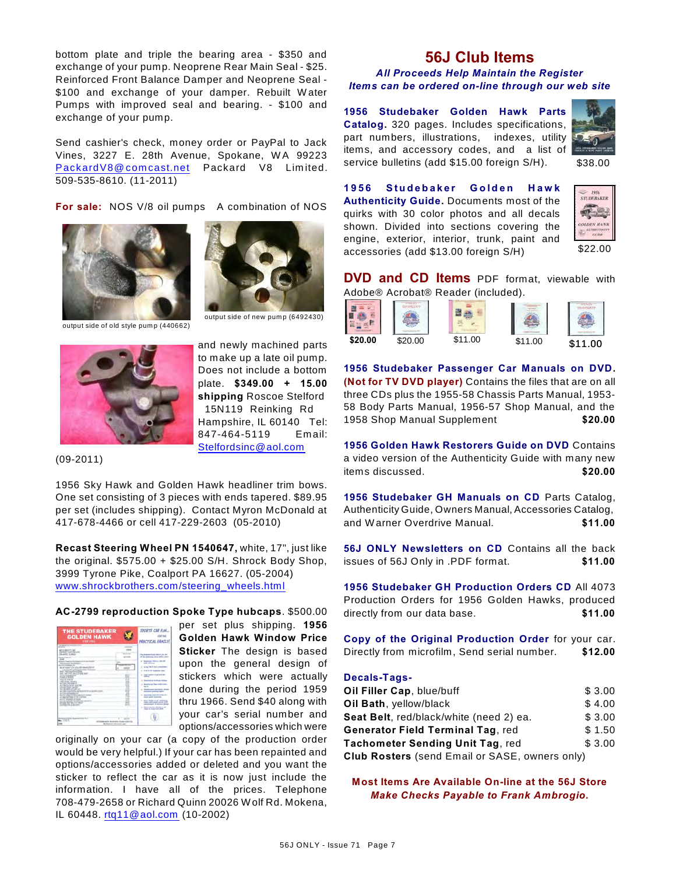bottom plate and triple the bearing area - \$350 and exchange of your pump. Neoprene Rear Main Seal - \$25. Reinforced Front Balance Damper and Neoprene Seal - \$100 and exchange of your damper. Rebuilt Water Pumps with improved seal and bearing. - \$100 and exchange of your pump.

Send cashier's check, money order or PayPal to Jack Vines, 3227 E. 28th Avenue, Spokane, WA 99223 PackardV8@comcast.net Packard V8 Limited. 509-535-8610. (11-2011)

**For sale:** NOS V/8 oil pumps A combination of NOS





output side of old style pump (440662)



and newly machined parts to make up a late oil pump. Does not include a bottom plate. **\$349.00 + 15.00 shipping** Roscoe Stelford 15N119 Reinking Rd Hampshire, IL 60140 Tel: 847-464-5119 Em ail: [Stelfordsinc@aol.com](mailto:Stelfordsinc@aol.com)

(09-2011)

1956 Sky Hawk and Golden Hawk headliner trim bows. One set consisting of 3 pieces with ends tapered. \$89.95 per set (includes shipping). Contact Myron McDonald at 417-678-4466 or cell 417-229-2603 (05-2010)

**Recast Steering Wheel PN 1540647,** white, 17", just like the original.  $$575.00 + $25.00$  S/H. Shrock Body Shop, 3999 Tyrone Pike, Coalport PA 16627. (05-2004) [www.shrockbrothers.com/steering\\_wheels.html](http://www.shrockbrothers.com/steering_wheels.html)

#### **AC-2799 reproduction Spoke Type hubcaps**. \$500.00

| <b>THE STUDEBAKER</b><br><b>GOLDEN HAWK</b><br>FOR 1999<br>That Baggain Base to all does director                                                                                                                                                                                                                                                                                                                                                                                                                                                                                                                                                                                                                                                                                                                                                                                                    |                                                                                     | <b>SPORTS CAR FUN</b><br>108.34<br><b>PRACTICAL FAMILY</b>                                                                                                                                                                                                                                                                                                                                                                                                                                                                                                                                              |
|------------------------------------------------------------------------------------------------------------------------------------------------------------------------------------------------------------------------------------------------------------------------------------------------------------------------------------------------------------------------------------------------------------------------------------------------------------------------------------------------------------------------------------------------------------------------------------------------------------------------------------------------------------------------------------------------------------------------------------------------------------------------------------------------------------------------------------------------------------------------------------------------------|-------------------------------------------------------------------------------------|---------------------------------------------------------------------------------------------------------------------------------------------------------------------------------------------------------------------------------------------------------------------------------------------------------------------------------------------------------------------------------------------------------------------------------------------------------------------------------------------------------------------------------------------------------------------------------------------------------|
| --<br><b>AS STARVITY INC.</b><br>THE AVEST CONTRACT JUST<br><b>DA ARCIT FERNICA</b><br><b>Mineral Avenue</b><br>5448<br>White Charter For Service Profit and<br>TRUCKSMITTECTS/INSURE<br>and the first design and the<br>BUILDING ON GOLDENHAM TOYOT<br>Interfer 604 and Supported Salar Princetters<br>ALLEY THEIR ANTIQUES AT THE R<br>tive 1977-33 by L.E-Kolt with<br>Call Township Corp.<br>Court / Street<br><b>MAY IN JUNEAU</b><br>week to the basic control of<br>at the car's tax is<br><b><i>PRESIDENT AUCHE</i></b><br><b>ATTN: NATIONAL</b><br>all this leads of cash all<br>an under its death of the automotive and an electronic country.<br>ALL UNK and exception and<br>all the sales areas to all acre wants<br>all clean and change as if not a love with<br><b>CATT DIGITS AT NOR</b><br>all the fairup school has constant<br>45 AND WAY BY LAT THEM<br>To 1994 FTA 4 TEL 2410 | 3 pints<br><b>Service Burning</b><br><b>KONS</b><br>Ŧ<br>.,<br><br>٠<br>÷.<br>۰<br> | The Boston Toyota (Plaza can di-<br>of the American at the Africa com-<br>2. Milanower 993 a.m.rdes off<br>and article<br>Long 198 h both attent<br><b>STATE OF CALIFORNIA COMPANY</b><br>Low below of printing the<br><b>Restaurance Executive Antique</b><br><b>Based and There with treats</b><br>×.<br>w.<br><b>Brooklynd, work formers</b><br><b>Robert Ford Archives Public</b><br><b>Bookley Cor Security Inc.</b><br>٠<br><b>Many plant bulleting</b><br>a. Box Walk car" mil<br>stated buildings and month with<br>and a raise<br>Minds Expendity Reported by ART<br>since an excel and allow- |
| The Secretary of<br>LOSELAND, N. St. and Commission<br><b>Building a construction</b>                                                                                                                                                                                                                                                                                                                                                                                                                                                                                                                                                                                                                                                                                                                                                                                                                |                                                                                     |                                                                                                                                                                                                                                                                                                                                                                                                                                                                                                                                                                                                         |

per set plus shipping. **1956 Golden Hawk Window Price Sticker** The design is based upon the general design of stickers which were actually done during the period 1959 thru 1966. Send \$40 along with your car's serial number and options/accessories which were

originally on your car (a copy of the production order would be very helpful.) If your car has been repainted and options/accessories added or deleted and you want the sticker to reflect the car as it is now just include the information. I have all of the prices. Telephone 708-479-2658 or Richard Quinn 20026 W olf Rd. Mokena, IL 60448. [rtq11@aol.com](mailto:rtq11@aol.com) (10-2002)

# **56J Club Items**

#### *All Proceeds Help Maintain the Register Items can be ordered on-line through our web site*

**1956 Studebaker Golden Hawk Parts Catalog.** 320 pages. Includes specifications, part numbers, illustrations, indexes, utility items, and accessory codes, and a list of service bulletins (add \$15.00 foreign S/H).



\$38.00

**1956 Studebaker Golden Hawk Authenticity Guide.** Documents most of the quirks with 30 color photos and all decals shown. Divided into sections covering the engine, exterior, interior, trunk, paint and accessories (add \$13.00 foreign S/H)



**DVD and CD Items** PDF format, viewable with Adobe® Acrobat® Reader (included).

**1956 Studebaker Passenger Car Manuals on DVD. (Not for TV DVD player)** Contains the files that are on all three CDs plus the 1955-58 Chassis Parts Manual, 1953- 58 Body Parts Manual, 1956-57 Shop Manual, and the 1958 Shop Manual Supplement **\$20.00**

**1956 Golden Hawk Restorers Guide on DVD** Contains a video version of the Authenticity Guide with many new items discussed. **\$20.00**

**1956 Studebaker GH Manuals on CD** Parts Catalog, Authenticity Guide, Owners Manual, Accessories Catalog, and W arner Overdrive Manual. **\$11.00**

**56J ONLY Newsletters on CD** Contains all the back issues of 56J Only in .PDF format. **\$11.00**

**1956 Studebaker GH Production Orders CD** All 4073 Production Orders for 1956 Golden Hawks, produced directly from our data base. **\$11.00**

**Copy of the Original Production Order** for your car. Directly from microfilm, Send serial number. **\$12.00**

#### **Decals-Tags-**

| Oil Filler Cap, blue/buff                             | \$3.00 |
|-------------------------------------------------------|--------|
| Oil Bath, yellow/black                                | \$4.00 |
| Seat Belt, red/black/white (need 2) ea.               | \$3.00 |
| <b>Generator Field Terminal Tag, red</b>              | \$1.50 |
| Tachometer Sending Unit Tag, red                      | \$3.00 |
| <b>Club Rosters</b> (send Email or SASE, owners only) |        |

**Most Items Are Available On-line at the 56J Store** *Make Checks Payable to Frank Ambrogio.*